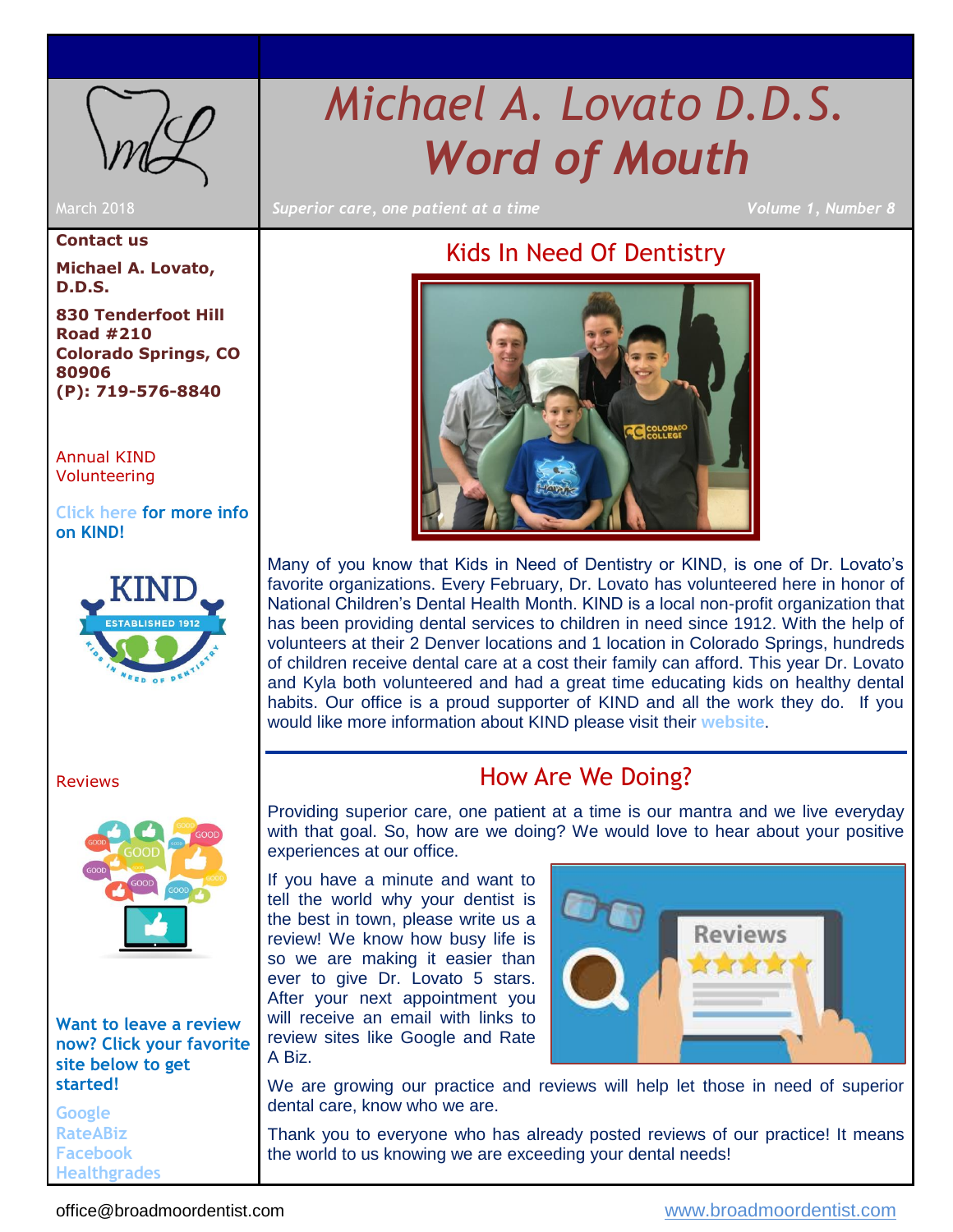# *Michael A. Lovato D.D.S. Word of Mouth*

March 2018 *Superior care, one patient at a time Volume 1, Number 8*

#### **Contact us**

**Michael A. Lovato, D.D.S.**

**830 Tenderfoot Hill Road #210 Colorado Springs, CO 80906 (P): 719-576-8840**

#### [Annual KIND](#page-0-0)  [Volunteering](#page-0-0)

**[Click here](https://kindsmiles.org/) for more info on KIND!**



[Reviews](#page-0-1) 



**Want to leave a review now? Click your favorite site below to get started!** 

**[Google](https://www.google.com/search?ei=pzmcWpzuF4qQjwPSo6-ACg&q=michael+lovato+dds&oq=michael+lovato+dds&gs_l=psy-ab.3..35i39k1l2j0i22i30k1.1787.2322.0.3370.2.2.0.0.0.0.118.211.1j1.2.0....0...1c.1.64.psy-ab..0.2.209....0.9R3acWaTh9A) [RateABiz](https://www.rateabiz.com/reviews/michael-a-lovato-dds-colorado-springs-co/5907dd33625113081f6c76b1e5306969/summary) [Facebook](https://www.facebook.com/michaelLovatoDDS/) [Healthgrades](https://www.healthgrades.com/dentist/dr-michael-lovato-37j3c?referrerSource=autosuggest)**

## Kids In Need Of Dentistry

<span id="page-0-0"></span>

Many of you know that Kids in Need of Dentistry or KIND, is one of Dr. Lovato's favorite organizations. Every February, Dr. Lovato has volunteered here in honor of National Children's Dental Health Month. KIND is a local non-profit organization that has been providing dental services to children in need since 1912. With the help of volunteers at their 2 Denver locations and 1 location in Colorado Springs, hundreds of children receive dental care at a cost their family can afford. This year Dr. Lovato and Kyla both volunteered and had a great time educating kids on healthy dental habits. Our office is a proud supporter of KIND and all the work they do. If you would like more information about KIND please visit their **[website](https://kindsmiles.org/)**.

### How Are We Doing?

<span id="page-0-1"></span>Providing superior care, one patient at a time is our mantra and we live everyday with that goal. So, how are we doing? We would love to hear about your positive experiences at our office.

If you have a minute and want to tell the world why your dentist is the best in town, please write us a review! We know how busy life is so we are making it easier than ever to give Dr. Lovato 5 stars. After your next appointment you will receive an email with links to review sites like Google and Rate A Biz.



We are growing our practice and reviews will help let those in need of superior dental care, know who we are.

Thank you to everyone who has already posted reviews of our practice! It means the world to us knowing we are exceeding your dental needs!